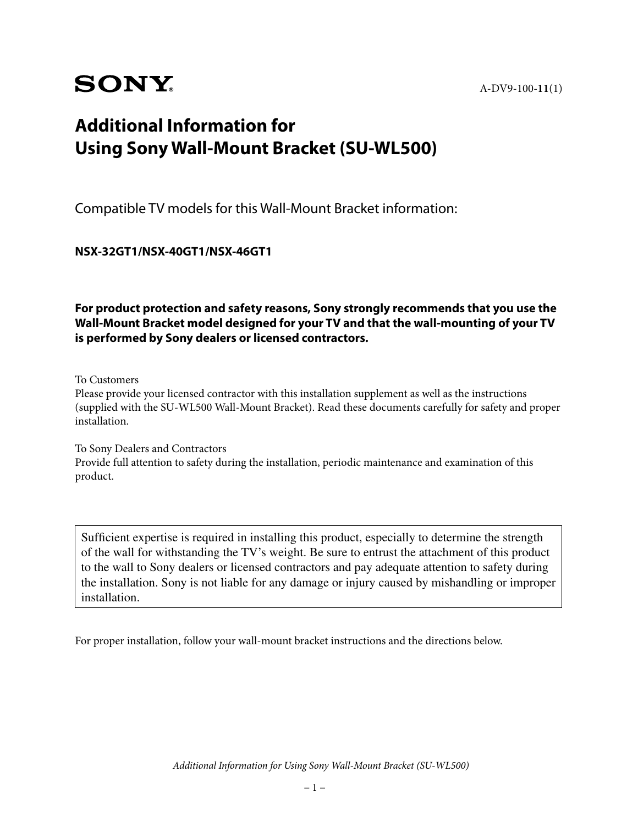# **SONY**

A-DV9-100-**11**(1)

## **Additional Information for Using Sony Wall-Mount Bracket (SU-WL500)**

Compatible TV models for this Wall-Mount Bracket information:

**NSX-32GT1/NSX-40GT1/NSX-46GT1**

**For product protection and safety reasons, Sony strongly recommends that you use the Wall-Mount Bracket model designed for your TV and that the wall-mounting of your TV is performed by Sony dealers or licensed contractors.**

To Customers

Please provide your licensed contractor with this installation supplement as well as the instructions (supplied with the SU-WL500 Wall-Mount Bracket). Read these documents carefully for safety and proper installation.

To Sony Dealers and Contractors Provide full attention to safety during the installation, periodic maintenance and examination of this product.

Sufficient expertise is required in installing this product, especially to determine the strength of the wall for withstanding the TV's weight. Be sure to entrust the attachment of this product to the wall to Sony dealers or licensed contractors and pay adequate attention to safety during the installation. Sony is not liable for any damage or injury caused by mishandling or improper installation.

For proper installation, follow your wall-mount bracket instructions and the directions below.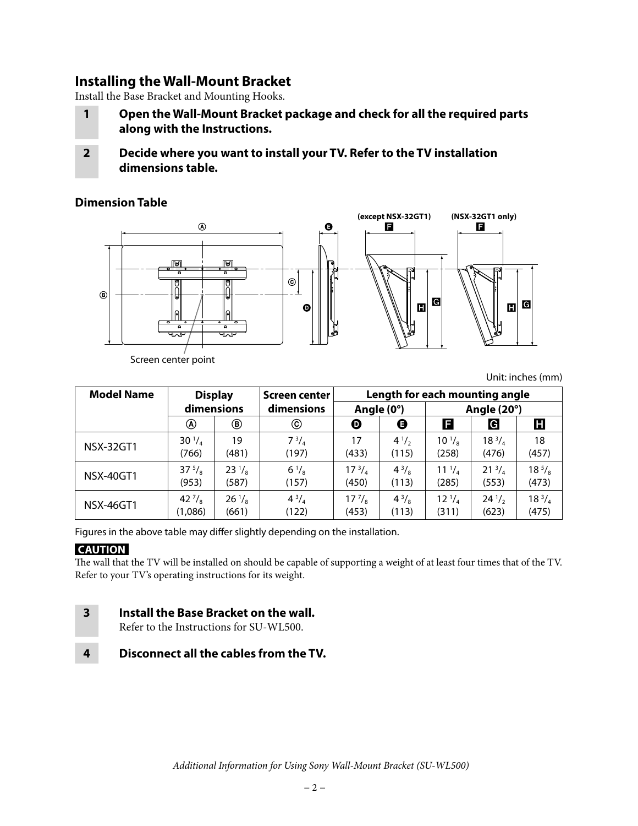## **Installing the Wall-Mount Bracket**

Install the Base Bracket and Mounting Hooks.

- **1 Open the Wall-Mount Bracket package and check for all the required parts along with the Instructions.**
- **2 Decide where you want to install your TV. Refer to the TV installation dimensions table.**

#### **Dimension Table**



Screen center point

Unit: inches (mm)

| <b>Model Name</b> | <b>Display</b>   |                 | Screen center  | Length for each mounting angle |              |                   |                 |               |
|-------------------|------------------|-----------------|----------------|--------------------------------|--------------|-------------------|-----------------|---------------|
|                   | dimensions       |                 | dimensions     | Angle (0°)                     |              | Angle (20°)       |                 |               |
|                   | ⊛                | ◉               | ⓒ              | ❶                              | ❶            | E                 | G               | Н             |
| <b>NSX-32GT1</b>  | $30^{1}/_{4}$    | 19              | $7^{3}/_{4}$   | 17                             | $4^{1/2}$    | $10^{1}/_{\rm s}$ | $18^{3}/_{4}$   | 18            |
|                   | (766)            | (481)           | (197)          | (433)                          | (115)        | (258)             | (476)           | (457)         |
| <b>NSX-40GT1</b>  | $37^{5}/_8$      | $23\frac{1}{8}$ | $6\frac{1}{8}$ | $17^{3}/_{4}$                  | $4^{3}/_{8}$ | $11^{1}/_{4}$     | $21^{3}/_{4}$   | $18^{5}/_8$   |
|                   | (953)            | (587)           | (157)          | (450)                          | (113)        | (285)             | (553)           | (473)         |
| NSX-46GT1         | 42 $\frac{7}{8}$ | $26\frac{1}{8}$ | $4^{3}/_{4}$   | $17\frac{7}{8}$                | $4^{3}/_{8}$ | $12^{1/4}$        | $24\frac{1}{2}$ | $18^{3}/_{4}$ |
|                   | (1,086)          | (661)           | (122)          | (453)                          | (113)        | (311)             | (623)           | (475)         |

Figures in the above table may differ slightly depending on the installation.

#### **CAUTION**

The wall that the TV will be installed on should be capable of supporting a weight of at least four times that of the TV. Refer to your TV's operating instructions for its weight.

## **3 Install the Base Bracket on the wall.**

Refer to the Instructions for SU-WL500.

**4 Disconnect all the cables from the TV.**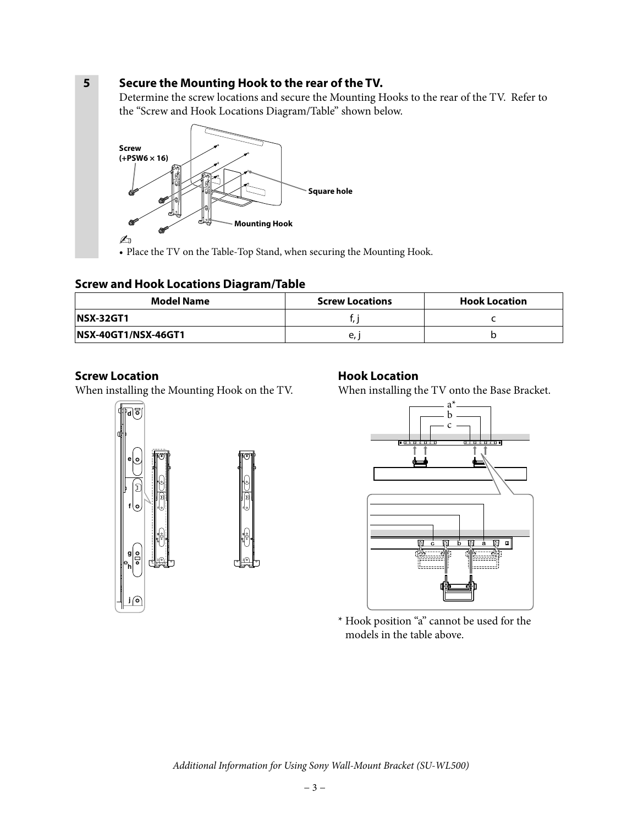#### **5 Secure the Mounting Hook to the rear of the TV.**

Determine the screw locations and secure the Mounting Hooks to the rear of the TV. Refer to the "Screw and Hook Locations Diagram/Table" shown below.



• Place the TV on the Table-Top Stand, when securing the Mounting Hook.

#### **Screw and Hook Locations Diagram/Table**

| Model Name                  | <b>Screw Locations</b> | <b>Hook Location</b> |  |
|-----------------------------|------------------------|----------------------|--|
| <b>NSX-32GT1</b>            |                        |                      |  |
| <b>INSX-40GT1/NSX-46GT1</b> | e,                     |                      |  |

#### **Screw Location**

When installing the Mounting Hook on the TV.



When installing the TV onto the Base Bracket.





\* Hook position "a" cannot be used for the models in the table above.